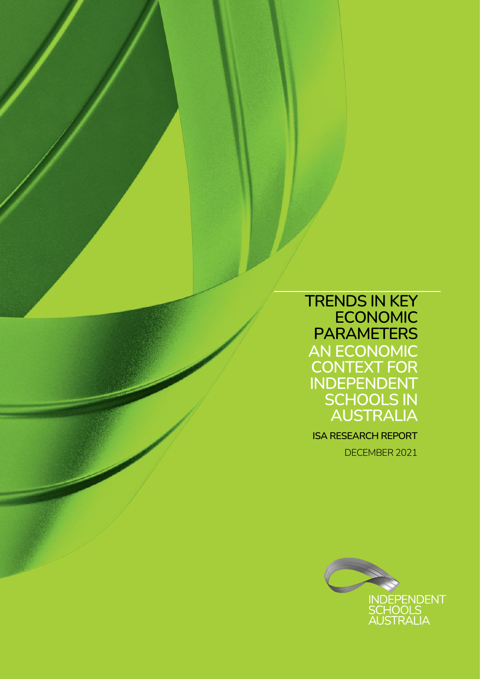**TRENDS IN KEY ECONOMIC PARAMETERS AN ECONOMIC CONTEXT FOR INDEPENDENT SCHOOLS IN AUSTRALIA**

**ISA RESEARCH REPORT** DECEMBER 2021

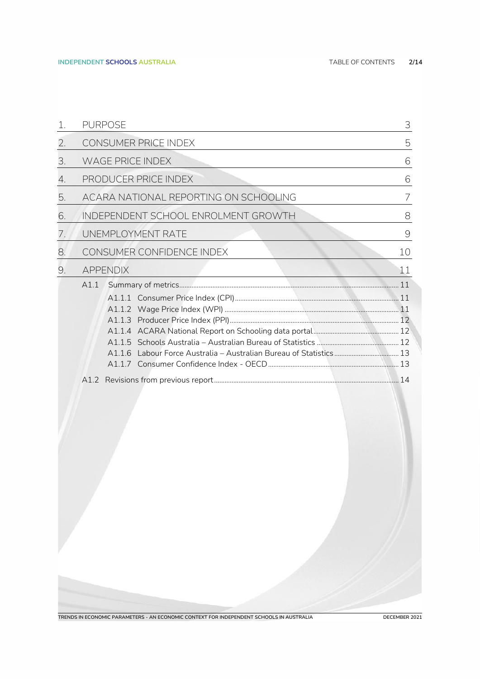| <b>PURPOSE</b>                        | 3    |
|---------------------------------------|------|
| CONSUMER PRICE INDEX                  | 5    |
| <b>WAGE PRICE INDEX</b>               | 6    |
| PRODUCER PRICE INDEX                  | 6    |
| ACARA NATIONAL REPORTING ON SCHOOLING | 7    |
| INDEPENDENT SCHOOL ENROLMENT GROWTH   | 8    |
| UNEMPLOYMENT RATE                     | 9    |
| CONSUMER CONFIDENCE INDEX             | 10   |
| <b>APPENDIX</b>                       | 11   |
|                                       |      |
|                                       | A1.1 |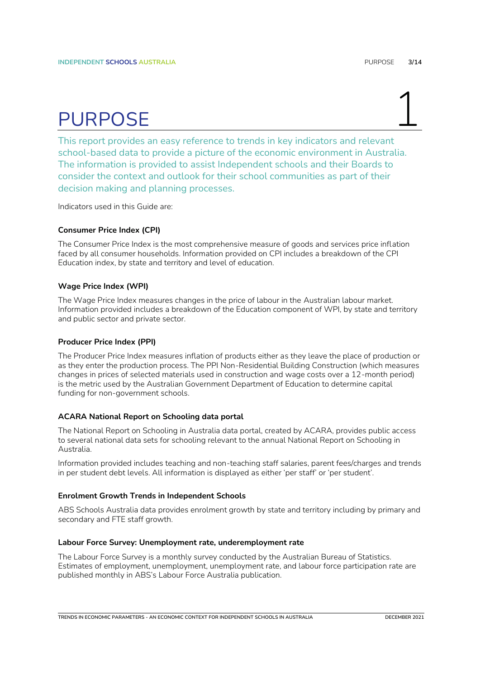## PURPOSE

<span id="page-2-0"></span>This report provides an easy reference to trends in key indicators and relevant school-based data to provide a picture of the economic environment in Australia. The information is provided to assist Independent schools and their Boards to consider the context and outlook for their school communities as part of their decision making and planning processes.

Indicators used in this Guide are:

#### **Consumer Price Index (CPI)**

The Consumer Price Index is the most comprehensive measure of goods and services price inflation faced by all consumer households. Information provided on CPI includes a breakdown of the CPI Education index, by state and territory and level of education.

### **Wage Price Index (WPI)**

The Wage Price Index measures changes in the price of labour in the Australian labour market. Information provided includes a breakdown of the Education component of WPI, by state and territory and public sector and private sector.

### **Producer Price Index (PPI)**

The Producer Price Index measures inflation of products either as they leave the place of production or as they enter the production process. The PPI Non-Residential Building Construction (which measures changes in prices of selected materials used in construction and wage costs over a 12-month period) is the metric used by the Australian Government Department of Education to determine capital funding for non-government schools.

### **ACARA National Report on Schooling data portal**

The National Report on Schooling in Australia data portal, created by ACARA, provides public access to several national data sets for schooling relevant to the annual National Report on Schooling in Australia.

Information provided includes teaching and non-teaching staff salaries, parent fees/charges and trends in per student debt levels. All information is displayed as either 'per staff' or 'per student'.

#### **Enrolment Growth Trends in Independent Schools**

ABS Schools Australia data provides enrolment growth by state and territory including by primary and secondary and FTE staff growth.

### **Labour Force Survey: Unemployment rate, underemployment rate**

The Labour Force Survey is a monthly survey conducted by the Australian Bureau of Statistics. Estimates of employment, unemployment, unemployment rate, and labour force participation rate are published monthly in ABS's Labour Force Australia publication.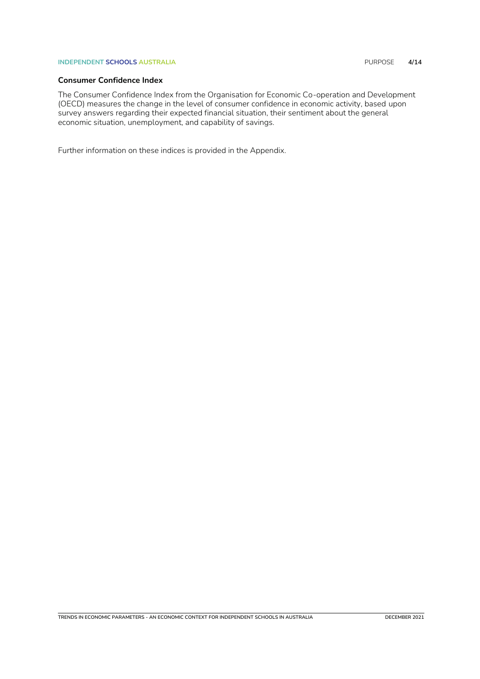### **INDEPENDENT SCHOOLS AUSTRALIA** PURPOSE **4/14**

### **Consumer Confidence Index**

The Consumer Confidence Index from the Organisation for Economic Co-operation and Development (OECD) measures the change in the level of consumer confidence in economic activity, based upon survey answers regarding their expected financial situation, their sentiment about the general economic situation, unemployment, and capability of savings.

Further information on these indices is provided in the Appendix.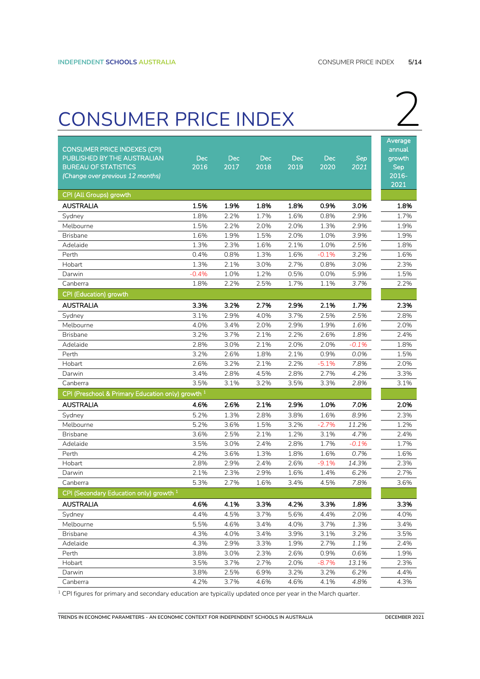## <span id="page-4-0"></span>CONSUMER PRICE INDEX 2

| <b>CONSUMER PRICE INDEXES (CPI)</b>                          |            |            |            |            |            |         | Average<br>annual |
|--------------------------------------------------------------|------------|------------|------------|------------|------------|---------|-------------------|
| PUBLISHED BY THE AUSTRALIAN                                  | <b>Dec</b> | <b>Dec</b> | <b>Dec</b> | <b>Dec</b> | <b>Dec</b> | Sep     | growth            |
| <b>BUREAU OF STATISTICS</b>                                  | 2016       | 2017       | 2018       | 2019       | 2020       | 2021    | <b>Sep</b>        |
| (Change over previous 12 months)                             |            |            |            |            |            |         | $2016 -$          |
|                                                              |            |            |            |            |            |         | 2021              |
| CPI (All Groups) growth                                      |            |            |            |            |            |         |                   |
| AUSTRALIA                                                    | 1.5%       | 1.9%       | 1.8%       | 1.8%       | 0.9%       | 3.0%    | 1.8%              |
| Sydney                                                       | 1.8%       | 2.2%       | 1.7%       | 1.6%       | 0.8%       | 2.9%    | 1.7%              |
| Melbourne                                                    | 1.5%       | 2.2%       | 2.0%       | 2.0%       | 1.3%       | 2.9%    | 1.9%              |
| <b>Brisbane</b>                                              | 1.6%       | 1.9%       | 1.5%       | 2.0%       | 1.0%       | 3.9%    | 1.9%              |
| Adelaide                                                     | 1.3%       | 2.3%       | 1.6%       | 2.1%       | 1.0%       | 2.5%    | 1.8%              |
| Perth                                                        | 0.4%       | 0.8%       | 1.3%       | 1.6%       | $-0.1%$    | 3.2%    | 1.6%              |
| Hobart                                                       | 1.3%       | 2.1%       | 3.0%       | 2.7%       | 0.8%       | 3.0%    | 2.3%              |
| Darwin                                                       | $-0.4%$    | 1.0%       | 1.2%       | 0.5%       | 0.0%       | 5.9%    | 1.5%              |
| Canberra                                                     | 1.8%       | 2.2%       | 2.5%       | 1.7%       | 1.1%       | 3.7%    | 2.2%              |
| CPI (Education) growth                                       |            |            |            |            |            |         |                   |
| <b>AUSTRALIA</b>                                             | 3.3%       | 3.2%       | 2.7%       | 2.9%       | 2.1%       | 1.7%    | 2.3%              |
| Sydney                                                       | 3.1%       | 2.9%       | 4.0%       | 3.7%       | 2.5%       | 2.5%    | 2.8%              |
| Melbourne                                                    | 4.0%       | 3.4%       | 2.0%       | 2.9%       | 1.9%       | 1.6%    | 2.0%              |
| <b>Brisbane</b>                                              | 3.2%       | 3.7%       | 2.1%       | 2.2%       | 2.6%       | 1.8%    | 2.4%              |
| Adelaide                                                     | 2.8%       | 3.0%       | 2.1%       | 2.0%       | 2.0%       | $-0.1%$ | 1.8%              |
| Perth                                                        | 3.2%       | 2.6%       | 1.8%       | 2.1%       | 0.9%       | 0.0%    | 1.5%              |
| Hobart                                                       | 2.6%       | 3.2%       | 2.1%       | 2.2%       | $-5.1%$    | 7.8%    | 2.0%              |
| Darwin                                                       | 3.4%       | 2.8%       | 4.5%       | 2.8%       | 2.7%       | 4.2%    | 3.3%              |
| Canberra                                                     | 3.5%       | 3.1%       | 3.2%       | 3.5%       | 3.3%       | 2.8%    | 3.1%              |
| CPI (Preschool & Primary Education only) growth <sup>1</sup> |            |            |            |            |            |         |                   |
| <b>AUSTRALIA</b>                                             | 4.6%       | 2.6%       | 2.1%       | 2.9%       | 1.0%       | 7.0%    | 2.0%              |
| Sydney                                                       | 5.2%       | 1.3%       | 2.8%       | 3.8%       | 1.6%       | 8.9%    | 2.3%              |
| Melbourne                                                    | 5.2%       | 3.6%       | 1.5%       | 3.2%       | $-2.7%$    | 11.2%   | 1.2%              |
| <b>Brisbane</b>                                              | 3.6%       | 2.5%       | 2.1%       | 1.2%       | 3.1%       | 4.7%    | 2.4%              |
| Adelaide                                                     | 3.5%       | 3.0%       | 2.4%       | 2.8%       | 1.7%       | $-0.1%$ | 1.7%              |
| Perth                                                        | 4.2%       | 3.6%       | 1.3%       | 1.8%       | 1.6%       | 0.7%    | 1.6%              |
| Hobart                                                       | 2.8%       | 2.9%       | 2.4%       | 2.6%       | $-9.1%$    | 14.3%   | 2.3%              |
| Darwin                                                       | 2.1%       | 2.3%       | 2.9%       | 1.6%       | 1.4%       | 6.2%    | 2.7%              |
| Canberra                                                     | 5.3%       | 2.7%       | 1.6%       | 3.4%       | 4.5%       | 7.8%    | 3.6%              |
| CPI (Secondary Education only) growth <sup>1</sup>           |            |            |            |            |            |         |                   |
| <b>AUSTRALIA</b>                                             | 4.6%       | 4.1%       | 3.3%       | 4.2%       | 3.3%       | 1.8%    | 3.3%              |
| Sydney                                                       | 4.4%       | 4.5%       | 3.7%       | 5.6%       | 4.4%       | 2.0%    | 4.0%              |
| Melbourne                                                    | 5.5%       | 4.6%       | 3.4%       | 4.0%       | 3.7%       | 1.3%    | 3.4%              |
| <b>Brisbane</b>                                              | 4.3%       | 4.0%       | 3.4%       | 3.9%       | 3.1%       | 3.2%    | 3.5%              |
| Adelaide                                                     | 4.3%       | 2.9%       | 3.3%       | 1.9%       | 2.7%       | 1.1%    | 2.4%              |
| Perth                                                        | 3.8%       | 3.0%       | 2.3%       | 2.6%       | 0.9%       | 0.6%    | 1.9%              |
| Hobart                                                       | 3.5%       | 3.7%       | 2.7%       | 2.0%       | $-8.7%$    | 13.1%   | 2.3%              |
| Darwin                                                       | 3.8%       | 2.5%       | 6.9%       | 3.2%       | 3.2%       | 6.2%    | 4.4%              |
| Canberra                                                     | 4.2%       | 3.7%       | 4.6%       | 4.6%       | 4.1%       | 4.8%    | 4.3%              |

<sup>1</sup> CPI figures for primary and secondary education are typically updated once per year in the March quarter.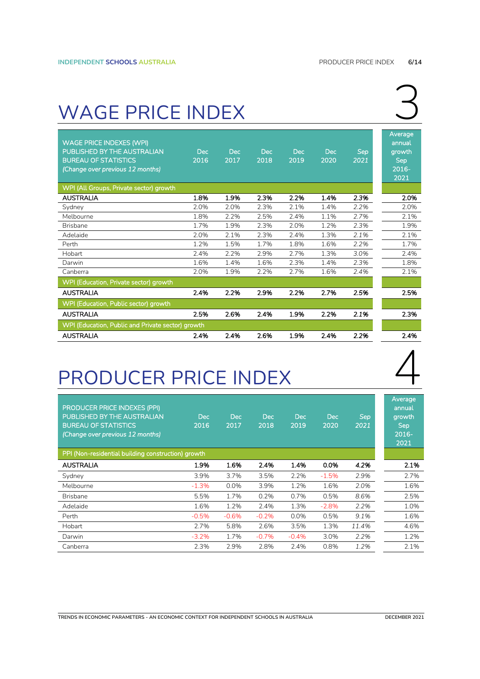### <span id="page-5-0"></span>WAGE PRICE INDEX

| <b>WAGE PRICE INDEXES (WPI)</b><br>PUBLISHED BY THE AUSTRALIAN<br><b>BUREAU OF STATISTICS</b><br>(Change over previous 12 months) | Dec<br>2016 | <b>Dec</b><br>2017 | <b>Dec</b><br>2018 | <b>Dec</b><br>2019 | <b>Dec</b><br>2020 | <b>Sep</b><br>2021 | Average<br>annual<br>growth<br><b>Sep</b><br>2016-<br>2021 |
|-----------------------------------------------------------------------------------------------------------------------------------|-------------|--------------------|--------------------|--------------------|--------------------|--------------------|------------------------------------------------------------|
| WPI (All Groups, Private sector) growth                                                                                           |             |                    |                    |                    |                    |                    |                                                            |
| <b>AUSTRALIA</b>                                                                                                                  | 1.8%        | 1.9%               | 2.3%               | 2.2%               | 1.4%               | 2.3%               | 2.0%                                                       |
| Sydney                                                                                                                            | 2.0%        | 2.0%               | 2.3%               | 2.1%               | 1.4%               | 2.2%               | 2.0%                                                       |
| Melbourne                                                                                                                         | 1.8%        | 2.2%               | 2.5%               | 2.4%               | 1.1%               | 2.7%               | 2.1%                                                       |
| <b>Brisbane</b>                                                                                                                   | 1.7%        | 1.9%               | 2.3%               | 2.0%               | 1.2%               | 2.3%               | 1.9%                                                       |
| Adelaide                                                                                                                          | 2.0%        | 2.1%               | 2.3%               | 2.4%               | 1.3%               | 2.1%               | 2.1%                                                       |
| Perth                                                                                                                             | 1.2%        | 1.5%               | 1.7%               | 1.8%               | 1.6%               | 2.2%               | 1.7%                                                       |
| Hobart                                                                                                                            | 2.4%        | 2.2%               | 2.9%               | 2.7%               | 1.3%               | 3.0%               | 2.4%                                                       |
| Darwin                                                                                                                            | 1.6%        | 1.4%               | 1.6%               | 2.3%               | 1.4%               | 2.3%               | 1.8%                                                       |
| Canberra                                                                                                                          | 2.0%        | 1.9%               | 2.2%               | 2.7%               | 1.6%               | 2.4%               | 2.1%                                                       |
| <b>WPI (Education, Private sector) growth</b>                                                                                     |             |                    |                    |                    |                    |                    |                                                            |
| <b>AUSTRALIA</b>                                                                                                                  | 2.4%        | 2.2%               | 2.9%               | 2.2%               | 2.7%               | 2.5%               | 2.5%                                                       |
| WPI (Education, Public sector) growth                                                                                             |             |                    |                    |                    |                    |                    |                                                            |
| <b>AUSTRALIA</b>                                                                                                                  | 2.5%        | 2.6%               | 2.4%               | 1.9%               | 2.2%               | 2.1%               | 2.3%                                                       |
| WPI (Education, Public and Private sector) growth                                                                                 |             |                    |                    |                    |                    |                    |                                                            |
| <b>AUSTRALIA</b>                                                                                                                  | 2.4%        | 2.4%               | 2.6%               | 1.9%               | 2.4%               | 2.2%               | 2.4%                                                       |

### <span id="page-5-1"></span>PRODUCER PRICE INDEX

| <b>PRODUCER PRICE INDEXES (PPI)</b><br>PUBLISHED BY THE AUSTRALIAN<br><b>BUREAU OF STATISTICS</b><br>(Change over previous 12 months) | Dec.<br>2016 | Dec<br>2017 | <b>Dec</b><br>2018 | <b>Dec</b><br>2019 | <b>Dec</b><br>2020 | <b>Sep</b><br>2021 | Average<br>annual<br>growth<br><b>Sep</b><br>$2016 -$<br>2021 |
|---------------------------------------------------------------------------------------------------------------------------------------|--------------|-------------|--------------------|--------------------|--------------------|--------------------|---------------------------------------------------------------|
| PPI (Non-residential building construction) growth                                                                                    |              |             |                    |                    |                    |                    |                                                               |
| <b>AUSTRALIA</b>                                                                                                                      | 1.9%         | 1.6%        | 2.4%               | 1.4%               | 0.0%               | 4.2%               | 2.1%                                                          |
| Sydney                                                                                                                                | 3.9%         | 3.7%        | 3.5%               | 2.2%               | $-1.5%$            | 2.9%               | 2.7%                                                          |
| Melbourne                                                                                                                             | $-1.3%$      | 0.0%        | 3.9%               | 1.2%               | 1.6%               | 2.0%               | 1.6%                                                          |
| <b>Brisbane</b>                                                                                                                       | 5.5%         | 1.7%        | 0.2%               | 0.7%               | 0.5%               | 8.6%               | 2.5%                                                          |
| Adelaide                                                                                                                              | 1.6%         | 1.2%        | 2.4%               | 1.3%               | $-2.8%$            | 2.2%               | 1.0%                                                          |
| Perth                                                                                                                                 | $-0.5%$      | $-0.6%$     | $-0.2%$            | 0.0%               | 0.5%               | 9.1%               | 1.6%                                                          |
| Hobart                                                                                                                                | 2.7%         | 5.8%        | 2.6%               | 3.5%               | 1.3%               | 11.4%              | 4.6%                                                          |
| Darwin                                                                                                                                | $-3.2%$      | 1.7%        | $-0.7%$            | $-0.4%$            | 3.0%               | 2.2%               | 1.2%                                                          |
| Canberra                                                                                                                              | 2.3%         | 2.9%        | 2.8%               | 2.4%               | 0.8%               | 1.2%               | 2.1%                                                          |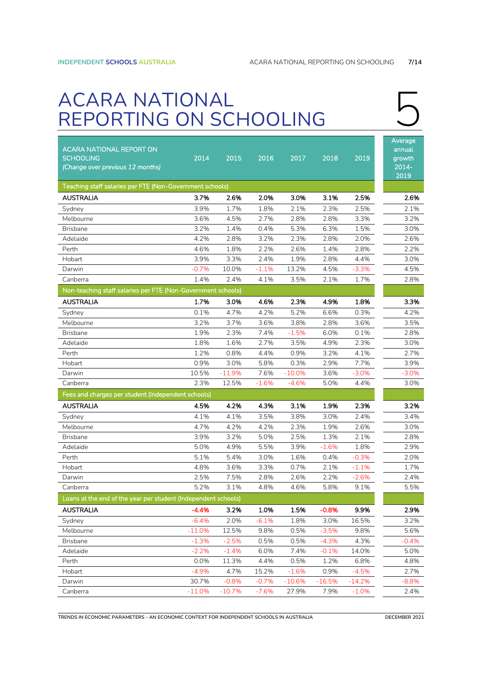### <span id="page-6-0"></span>ACARA NATIONAL REPORTING ON SCHOOLING

| <b>ACARA NATIONAL REPORT ON</b><br><b>SCHOOLING</b><br>(Change over previous 12 months) | 2014     | 2015     | 2016    | 2017     | 2018     | 2019    | Average<br>annual<br>growth<br>$2014 -$<br>2019 |
|-----------------------------------------------------------------------------------------|----------|----------|---------|----------|----------|---------|-------------------------------------------------|
| Teaching staff salaries per FTE (Non-Government schools)                                |          |          |         |          |          |         |                                                 |
| <b>AUSTRALIA</b>                                                                        | 3.7%     | 2.6%     | 2.0%    | 3.0%     | 3.1%     | 2.5%    | 2.6%                                            |
| Sydney                                                                                  | 3.9%     | 1.7%     | 1.8%    | 2.1%     | 2.3%     | 2.5%    | 2.1%                                            |
| Melbourne                                                                               | 3.6%     | 4.5%     | 2.7%    | 2.8%     | 2.8%     | 3.3%    | 3.2%                                            |
| <b>Brisbane</b>                                                                         | 3.2%     | 1.4%     | 0.4%    | 5.3%     | 6.3%     | 1.5%    | 3.0%                                            |
| Adelaide                                                                                | 4.2%     | 2.8%     | 3.2%    | 2.3%     | 2.8%     | 2.0%    | 2.6%                                            |
| Perth                                                                                   | 4.6%     | 1.8%     | 2.2%    | 2.6%     | 1.4%     | 2.8%    | 2.2%                                            |
| Hobart                                                                                  | 3.9%     | 3.3%     | 2.4%    | 1.9%     | 2.8%     | 4.4%    | 3.0%                                            |
| Darwin                                                                                  | $-0.7%$  | 10.0%    | $-1.1%$ | 13.2%    | 4.5%     | $-3.3%$ | 4.5%                                            |
| Canberra                                                                                | 1.4%     | 2.4%     | 4.1%    | 3.5%     | 2.1%     | 1.7%    | 2.8%                                            |
| Non-teaching staff salaries per FTE (Non-Government schools)                            |          |          |         |          |          |         |                                                 |
| <b>AUSTRALIA</b>                                                                        | 1.7%     | 3.0%     | 4.6%    | 2.3%     | 4.9%     | 1.8%    | 3.3%                                            |
| Sydney                                                                                  | 0.1%     | 4.7%     | 4.2%    | 5.2%     | 6.6%     | 0.3%    | 4.2%                                            |
| Melbourne                                                                               | 3.2%     | 3.7%     | 3.6%    | 3.8%     | 2.8%     | 3.6%    | 3.5%                                            |
| <b>Brisbane</b>                                                                         | 1.9%     | 2.3%     | 7.4%    | $-1.5%$  | 6.0%     | 0.1%    | 2.8%                                            |
| Adelaide                                                                                | 1.8%     | 1.6%     | 2.7%    | 3.5%     | 4.9%     | 2.3%    | 3.0%                                            |
| Perth                                                                                   | 1.2%     | 0.8%     | 4.4%    | 0.9%     | 3.2%     | 4.1%    | 2.7%                                            |
| Hobart                                                                                  | 0.9%     | 3.0%     | 5.8%    | 0.3%     | 2.9%     | 7.7%    | 3.9%                                            |
| Darwin                                                                                  | 10.5%    | $-11.9%$ | 7.6%    | $-10.0%$ | 3.6%     | $-3.0%$ | $-3.0%$                                         |
| Canberra                                                                                | 2.3%     | 12.5%    | $-1.6%$ | $-4.6%$  | 5.0%     | 4.4%    | 3.0%                                            |
| Fees and charges per student (Independent schools)                                      |          |          |         |          |          |         |                                                 |
| <b>AUSTRALIA</b>                                                                        | 4.5%     | 4.2%     | 4.3%    | 3.1%     | 1.9%     | 2.3%    | 3.2%                                            |
| Sydney                                                                                  | 4.1%     | 4.1%     | 3.5%    | 3.8%     | 3.0%     | 2.4%    | 3.4%                                            |
| Melbourne                                                                               | 4.7%     | 4.2%     | 4.2%    | 2.3%     | 1.9%     | 2.6%    | 3.0%                                            |
| <b>Brisbane</b>                                                                         | 3.9%     | 3.2%     | 5.0%    | 2.5%     | 1.3%     | 2.1%    | 2.8%                                            |
| Adelaide                                                                                | 5.0%     | 4.9%     | 5.5%    | 3.9%     | $-1.6%$  | 1.8%    | 2.9%                                            |
| Perth                                                                                   | 5.1%     | 5.4%     | 3.0%    | 1.6%     | 0.4%     | $-0.3%$ | 2.0%                                            |
| Hobart                                                                                  | 4.8%     | 3.6%     | 3.3%    | 0.7%     | 2.1%     | $-1.1%$ | 1.7%                                            |
| Darwin                                                                                  | 2.5%     | 7.5%     | 2.8%    | 2.6%     | 2.2%     | $-2.6%$ | 2.4%                                            |
| Canberra                                                                                | 5.2%     | 3.1%     | 4.8%    | 4.6%     | 5.8%     | 9.1%    | 5.5%                                            |
| Loans at the end of the year per student (Independent schools)                          |          |          |         |          |          |         |                                                 |
| <b>AUSTRALIA</b>                                                                        | -4.4%    | 3.2%     | 1.0%    | 1.5%     | $-0.8%$  | 9.9%    | 2.9%                                            |
| Sydney                                                                                  | $-6.4%$  | 2.0%     | $-6.1%$ | 1.8%     | 3.0%     | 16.5%   | 3.2%                                            |
| Melbourne                                                                               | $-11.0%$ | 12.5%    | 9.8%    | 0.5%     | $-3.5%$  | 9.8%    | 5.6%                                            |
| <b>Brisbane</b>                                                                         | $-1.3%$  | $-2.5%$  | 0.5%    | 0.5%     | $-4.3%$  | 4.3%    | $-0.4%$                                         |
| Adelaide                                                                                | $-2.2%$  | $-1.4%$  | 6.0%    | 7.4%     | $-0.1%$  | 14.0%   | 5.0%                                            |
| Perth                                                                                   | 0.0%     | 11.3%    | 4.4%    | 0.5%     | 1.2%     | 6.8%    | 4.8%                                            |
| Hobart                                                                                  | $-4.9%$  | 4.7%     | 15.2%   | $-1.6%$  | 0.9%     | $-4.5%$ | 2.7%                                            |
| Darwin                                                                                  | 30.7%    | $-0.8%$  | $-0.7%$ | $-10.6%$ | $-16.5%$ | -14.2%  | -8.8%                                           |
| Canberra                                                                                | $-11.0%$ | $-10.7%$ | $-7.6%$ | 27.9%    | 7.9%     | $-1.0%$ | 2.4%                                            |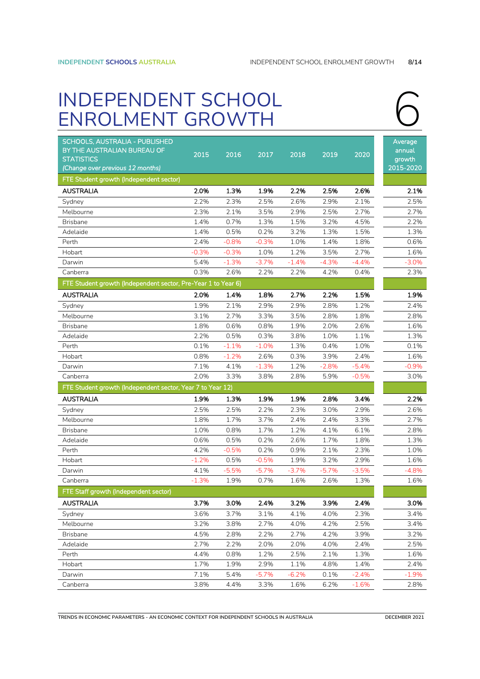# <span id="page-7-0"></span>INDEPENDENT SCHOOL<br>ENROLMENT GROWTH



| SCHOOLS, AUSTRALIA - PUBLISHED<br>BY THE AUSTRALIAN BUREAU OF<br><b>STATISTICS</b><br>(Change over previous 12 months) | 2015    | 2016    | 2017    | 2018    | 2019    | 2020    | Average<br>annual<br>growth<br>2015-2020 |
|------------------------------------------------------------------------------------------------------------------------|---------|---------|---------|---------|---------|---------|------------------------------------------|
| FTE Student growth (Independent sector)                                                                                |         |         |         |         |         |         |                                          |
| <b>AUSTRALIA</b>                                                                                                       | 2.0%    | 1.3%    | 1.9%    | 2.2%    | 2.5%    | 2.6%    | 2.1%                                     |
| Sydney                                                                                                                 | 2.2%    | 2.3%    | 2.5%    | 2.6%    | 2.9%    | 2.1%    | 2.5%                                     |
| Melbourne                                                                                                              | 2.3%    | 2.1%    | 3.5%    | 2.9%    | 2.5%    | 2.7%    | 2.7%                                     |
| <b>Brisbane</b>                                                                                                        | 1.4%    | 0.7%    | 1.3%    | 1.5%    | 3.2%    | 4.5%    | 2.2%                                     |
| Adelaide                                                                                                               | 1.4%    | 0.5%    | 0.2%    | 3.2%    | 1.3%    | 1.5%    | 1.3%                                     |
| Perth                                                                                                                  | 2.4%    | $-0.8%$ | $-0.3%$ | 1.0%    | 1.4%    | 1.8%    | 0.6%                                     |
| Hobart                                                                                                                 | $-0.3%$ | $-0.3%$ | 1.0%    | 1.2%    | 3.5%    | 2.7%    | 1.6%                                     |
| Darwin                                                                                                                 | 5.4%    | $-1.3%$ | $-3.7%$ | $-1.4%$ | $-4.3%$ | $-4.4%$ | $-3.0%$                                  |
| Canberra                                                                                                               | 0.3%    | 2.6%    | 2.2%    | 2.2%    | 4.2%    | 0.4%    | 2.3%                                     |
| FTE Student growth (Independent sector, Pre-Year 1 to Year 6)                                                          |         |         |         |         |         |         |                                          |
| <b>AUSTRALIA</b>                                                                                                       | 2.0%    | 1.4%    | 1.8%    | 2.7%    | 2.2%    | 1.5%    | 1.9%                                     |
| Sydney                                                                                                                 | 1.9%    | 2.1%    | 2.9%    | 2.9%    | 2.8%    | 1.2%    | 2.4%                                     |
| Melbourne                                                                                                              | 3.1%    | 2.7%    | 3.3%    | 3.5%    | 2.8%    | 1.8%    | 2.8%                                     |
| <b>Brisbane</b>                                                                                                        | 1.8%    | 0.6%    | 0.8%    | 1.9%    | 2.0%    | 2.6%    | 1.6%                                     |
| Adelaide                                                                                                               | 2.2%    | 0.5%    | 0.3%    | 3.8%    | 1.0%    | 1.1%    | 1.3%                                     |
| Perth                                                                                                                  | 0.1%    | $-1.1%$ | $-1.0%$ | 1.3%    | 0.4%    | 1.0%    | 0.1%                                     |
| Hobart                                                                                                                 | 0.8%    | $-1.2%$ | 2.6%    | 0.3%    | 3.9%    | 2.4%    | 1.6%                                     |
| Darwin                                                                                                                 | 7.1%    | 4.1%    | $-1.3%$ | 1.2%    | $-2.8%$ | $-5.4%$ | $-0.9%$                                  |
| Canberra                                                                                                               | 2.0%    | 3.3%    | 3.8%    | 2.8%    | 5.9%    | $-0.5%$ | 3.0%                                     |
| FTE Student growth (Independent sector, Year 7 to Year 12)                                                             |         |         |         |         |         |         |                                          |
| <b>AUSTRALIA</b>                                                                                                       | 1.9%    | 1.3%    | 1.9%    | 1.9%    | 2.8%    | 3.4%    | 2.2%                                     |
| Sydney                                                                                                                 | 2.5%    | 2.5%    | 2.2%    | 2.3%    | 3.0%    | 2.9%    | 2.6%                                     |
| Melbourne                                                                                                              | 1.8%    | 1.7%    | 3.7%    | 2.4%    | 2.4%    | 3.3%    | 2.7%                                     |
| Brisbane                                                                                                               | 1.0%    | 0.8%    | 1.7%    | 1.2%    | 4.1%    | 6.1%    | 2.8%                                     |
| Adelaide                                                                                                               | 0.6%    | 0.5%    | 0.2%    | 2.6%    | 1.7%    | 1.8%    | 1.3%                                     |
| Perth                                                                                                                  | 4.2%    | $-0.5%$ | 0.2%    | 0.9%    | 2.1%    | 2.3%    | 1.0%                                     |
| Hobart                                                                                                                 | $-1.2%$ | 0.5%    | $-0.5%$ | 1.9%    | 3.2%    | 2.9%    | 1.6%                                     |
| Darwin                                                                                                                 | 4.1%    | $-5.5%$ | $-5.7%$ | $-3.7%$ | $-5.7%$ | $-3.5%$ | $-4.8%$                                  |
| Canberra                                                                                                               | $-1.3%$ | 1.9%    | 0.7%    | 1.6%    | 2.6%    | 1.3%    | 1.6%                                     |
| FTE Staff growth (Independent sector)                                                                                  |         |         |         |         |         |         |                                          |
| <b>AUSTRALIA</b>                                                                                                       | 3.7%    | 3.0%    | 2.4%    | 3.2%    | 3.9%    | 2.4%    | 3.0%                                     |
| Sydney                                                                                                                 | 3.6%    | 3.7%    | 3.1%    | 4.1%    | 4.0%    | 2.3%    | 3.4%                                     |
| Melbourne                                                                                                              | 3.2%    | 3.8%    | 2.7%    | 4.0%    | 4.2%    | 2.5%    | 3.4%                                     |
| <b>Brisbane</b>                                                                                                        | 4.5%    | 2.8%    | 2.2%    | 2.7%    | 4.2%    | 3.9%    | 3.2%                                     |
| Adelaide                                                                                                               | 2.7%    | 2.2%    | 2.0%    | 2.0%    | 4.0%    | 2.4%    | 2.5%                                     |
| Perth                                                                                                                  | 4.4%    | 0.8%    | 1.2%    | 2.5%    | 2.1%    | 1.3%    | 1.6%                                     |
| Hobart                                                                                                                 | 1.7%    | 1.9%    | 2.9%    | 1.1%    | 4.8%    | 1.4%    | 2.4%                                     |
| Darwin                                                                                                                 | 7.1%    | 5.4%    | $-5.7%$ | $-6.2%$ | 0.1%    | $-2.4%$ | $-1.9%$                                  |
| Canberra                                                                                                               | 3.8%    | 4.4%    | 3.3%    | 1.6%    | 6.2%    | $-1.6%$ | 2.8%                                     |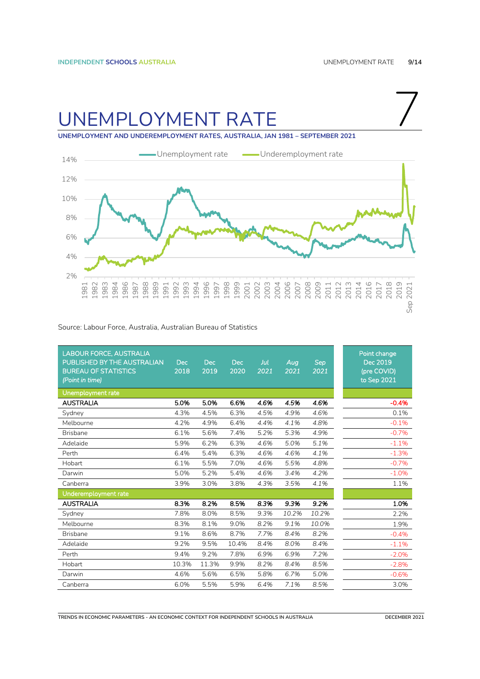7

### <span id="page-8-0"></span>UNEMPLOYMENT RATE

**UNEMPLOYMENT AND UNDEREMPLOYMENT RATES, AUSTRALIA, JAN 1981 – SEPTEMBER 2021**



#### Source: Labour Force, Australia, Australian Bureau of Statistics

| <b>LABOUR FORCE, AUSTRALIA</b><br>PUBLISHED BY THE AUSTRALIAN<br><b>BUREAU OF STATISTICS</b><br>(Point in time) | <b>Dec</b><br>2018 | <b>Dec</b><br>2019 | <b>Dec</b><br>2020 | Jul<br>2021 | Aug<br>2021 | <b>Sep</b><br>2021 | Point change<br>Dec 2019<br>(pre COVID)<br>to Sep 2021 |
|-----------------------------------------------------------------------------------------------------------------|--------------------|--------------------|--------------------|-------------|-------------|--------------------|--------------------------------------------------------|
| Unemployment rate                                                                                               |                    |                    |                    |             |             |                    |                                                        |
| <b>AUSTRALIA</b>                                                                                                | 5.0%               | 5.0%               | 6.6%               | 4.6%        | 4.5%        | 4.6%               | $-0.4%$                                                |
| Sydney                                                                                                          | 4.3%               | 4.5%               | 6.3%               | 4.5%        | 4.9%        | 4.6%               | 0.1%                                                   |
| Melbourne                                                                                                       | 4.2%               | 4.9%               | 6.4%               | 4.4%        | 4.1%        | 4.8%               | $-0.1%$                                                |
| <b>Brisbane</b>                                                                                                 | 6.1%               | 5.6%               | 7.4%               | 5.2%        | 5.3%        | 4.9%               | $-0.7%$                                                |
| Adelaide                                                                                                        | 5.9%               | 6.2%               | 6.3%               | 4.6%        | 5.0%        | 5.1%               | $-1.1%$                                                |
| Perth                                                                                                           | 6.4%               | 5.4%               | 6.3%               | 4.6%        | 4.6%        | 4.1%               | $-1.3%$                                                |
| Hobart                                                                                                          | 6.1%               | 5.5%               | 7.0%               | 4.6%        | 5.5%        | 4.8%               | $-0.7%$                                                |
| Darwin                                                                                                          | 5.0%               | 5.2%               | 5.4%               | 4.6%        | 3.4%        | 4.2%               | $-1.0%$                                                |
| Canberra                                                                                                        | 3.9%               | 3.0%               | 3.8%               | 4.3%        | 3.5%        | 4.1%               | 1.1%                                                   |
| Underemployment rate                                                                                            |                    |                    |                    |             |             |                    |                                                        |
| <b>AUSTRALIA</b>                                                                                                | 8.3%               | 8.2%               | 8.5%               | 8.3%        | 9.3%        | 9.2%               | 1.0%                                                   |
| Sydney                                                                                                          | 7.8%               | 8.0%               | 8.5%               | 9.3%        | 10.2%       | 10.2%              | 2.2%                                                   |
| Melbourne                                                                                                       | 8.3%               | 8.1%               | 9.0%               | 8.2%        | 9.1%        | 10.0%              | 1.9%                                                   |
| <b>Brisbane</b>                                                                                                 | 9.1%               | 8.6%               | 8.7%               | 7.7%        | 8.4%        | 8.2%               | $-0.4%$                                                |
| Adelaide                                                                                                        | 9.2%               | 9.5%               | 10.4%              | 8.4%        | 8.0%        | 8.4%               | $-1.1%$                                                |
| Perth                                                                                                           | 9.4%               | 9.2%               | 7.8%               | 6.9%        | 6.9%        | 7.2%               | $-2.0%$                                                |
| Hobart                                                                                                          | 10.3%              | 11.3%              | 9.9%               | 8.2%        | 8.4%        | 8.5%               | $-2.8%$                                                |
| Darwin                                                                                                          | 4.6%               | 5.6%               | 6.5%               | 5.8%        | 6.7%        | 5.0%               | $-0.6%$                                                |
| Canberra                                                                                                        | 6.0%               | 5.5%               | 5.9%               | 6.4%        | 7.1%        | 8.5%               | 3.0%                                                   |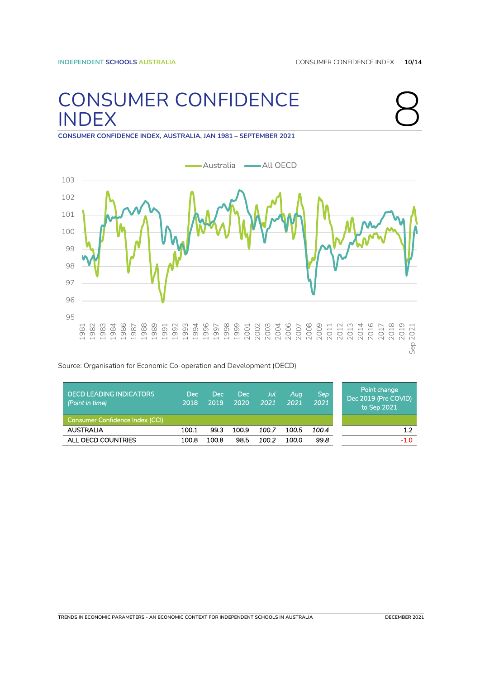### <span id="page-9-0"></span>8. CONSUMER CONFIDENCE INDEX



**CONSUMER CONFIDENCE INDEX, AUSTRALIA, JAN 1981 – SEPTEMBER 2021**



Source: Organisation for Economic Co-operation and Development (OECD)

| OECD LEADING INDICATORS<br>(Point in time) | <b>Dec</b><br>2018 | <b>Dec</b><br>2019 | <b>Dec</b><br>2020 | Jul<br>2021 | Aua<br>2021 | Sep<br>2021 | Point change<br>Dec 2019 (Pre COVID)<br>to Sep 2021 |
|--------------------------------------------|--------------------|--------------------|--------------------|-------------|-------------|-------------|-----------------------------------------------------|
| Consumer Confidence Index (CCI)            |                    |                    |                    |             |             |             |                                                     |
| <b>AUSTRALIA</b>                           | 100.1              | 99.3               | 100.9              | 100.7       | 100.5       | 100.4       | 1.2                                                 |
| ALL OECD COUNTRIES                         | 100.8              | 100.8              | 98.5               | 100.2       | 100.0       | 99.8        | $-1.0$                                              |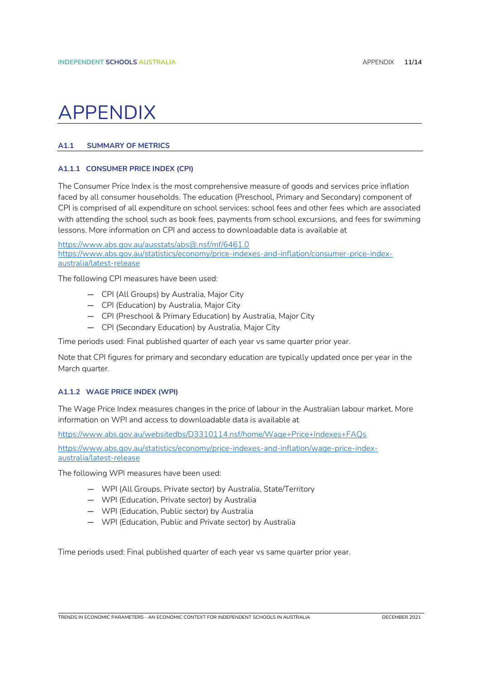### <span id="page-10-0"></span>**APPENDIX**

### <span id="page-10-1"></span>**A1.1 SUMMARY OF METRICS**

### <span id="page-10-2"></span>**A1.1.1 CONSUMER PRICE INDEX (CPI)**

The Consumer Price Index is the most comprehensive measure of goods and services price inflation faced by all consumer households. The education (Preschool, Primary and Secondary) component of CPI is comprised of all expenditure on school services: school fees and other fees which are associated with attending the school such as book fees, payments from school excursions, and fees for swimming lessons. More information on CPI and access to downloadable data is available at

<https://www.abs.gov.au/ausstats/abs@.nsf/mf/6461.0> [https://www.abs.gov.au/statistics/economy/price-indexes-and-inflation/consumer-price-index](https://www.abs.gov.au/statistics/economy/price-indexes-and-inflation/consumer-price-index-australia/latest-release)[australia/latest-release](https://www.abs.gov.au/statistics/economy/price-indexes-and-inflation/consumer-price-index-australia/latest-release)

The following CPI measures have been used:

- CPI (All Groups) by Australia, Major City
- CPI (Education) by Australia, Major City
- CPI (Preschool & Primary Education) by Australia, Major City
- CPI (Secondary Education) by Australia, Major City

Time periods used: Final published quarter of each year vs same quarter prior year.

Note that CPI figures for primary and secondary education are typically updated once per year in the March quarter.

### <span id="page-10-3"></span>**A1.1.2 WAGE PRICE INDEX (WPI)**

The Wage Price Index measures changes in the price of labour in the Australian labour market. More information on WPI and access to downloadable data is available at

<https://www.abs.gov.au/websitedbs/D3310114.nsf/home/Wage+Price+Indexes+FAQs>

[https://www.abs.gov.au/statistics/economy/price-indexes-and-inflation/wage-price-index](https://www.abs.gov.au/statistics/economy/price-indexes-and-inflation/wage-price-index-australia/latest-release)[australia/latest-release](https://www.abs.gov.au/statistics/economy/price-indexes-and-inflation/wage-price-index-australia/latest-release)

The following WPI measures have been used:

- WPI (All Groups, Private sector) by Australia, State/Territory
- WPI (Education, Private sector) by Australia
- WPI (Education, Public sector) by Australia
- WPI (Education, Public and Private sector) by Australia

Time periods used: Final published quarter of each year vs same quarter prior year.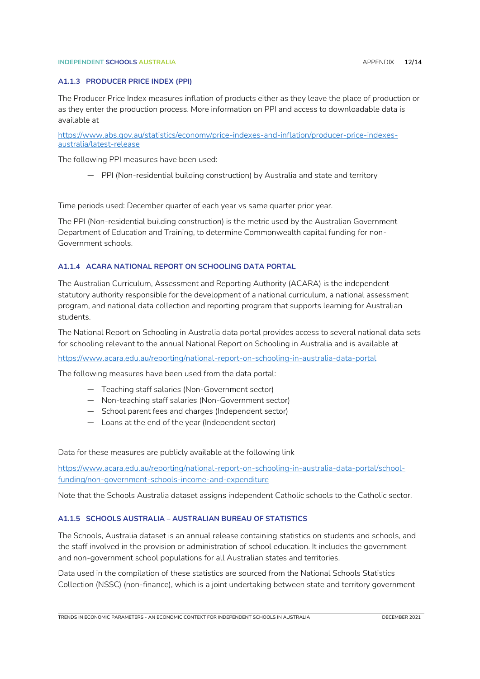#### **INDEPENDENT SCHOOLS AUSTRALIA** AND **ALCOHOLY APPENDIX 12/14**

### <span id="page-11-0"></span>**A1.1.3 PRODUCER PRICE INDEX (PPI)**

The Producer Price Index measures inflation of products either as they leave the place of production or as they enter the production process. More information on PPI and access to downloadable data is available at

[https://www.abs.gov.au/statistics/economy/price-indexes-and-inflation/producer-price-indexes](https://www.abs.gov.au/statistics/economy/price-indexes-and-inflation/producer-price-indexes-australia/latest-release)[australia/latest-release](https://www.abs.gov.au/statistics/economy/price-indexes-and-inflation/producer-price-indexes-australia/latest-release)

The following PPI measures have been used:

— PPI (Non-residential building construction) by Australia and state and territory

Time periods used: December quarter of each year vs same quarter prior year.

The PPI (Non-residential building construction) is the metric used by the Australian Government Department of Education and Training, to determine Commonwealth capital funding for non-Government schools.

#### <span id="page-11-1"></span>**A1.1.4 ACARA NATIONAL REPORT ON SCHOOLING DATA PORTAL**

The Australian Curriculum, Assessment and Reporting Authority (ACARA) is the independent statutory authority responsible for the development of a national curriculum, a national assessment program, and national data collection and reporting program that supports learning for Australian students.

The National Report on Schooling in Australia data portal provides access to several national data sets for schooling relevant to the annual National Report on Schooling in Australia and is available at

<https://www.acara.edu.au/reporting/national-report-on-schooling-in-australia-data-portal>

The following measures have been used from the data portal:

- Teaching staff salaries (Non-Government sector)
- Non-teaching staff salaries (Non-Government sector)
- School parent fees and charges (Independent sector)
- Loans at the end of the year (Independent sector)

Data for these measures are publicly available at the following link

[https://www.acara.edu.au/reporting/national-report-on-schooling-in-australia-data-portal/school](https://www.acara.edu.au/reporting/national-report-on-schooling-in-australia-data-portal/school-funding/non-government-schools-income-and-expenditure)[funding/non-government-schools-income-and-expenditure](https://www.acara.edu.au/reporting/national-report-on-schooling-in-australia-data-portal/school-funding/non-government-schools-income-and-expenditure)

Note that the Schools Australia dataset assigns independent Catholic schools to the Catholic sector.

### <span id="page-11-2"></span>**A1.1.5 SCHOOLS AUSTRALIA – AUSTRALIAN BUREAU OF STATISTICS**

The Schools, Australia dataset is an annual release containing statistics on students and schools, and the staff involved in the provision or administration of school education. It includes the government and non-government school populations for all Australian states and territories.

Data used in the compilation of these statistics are sourced from the National Schools Statistics Collection (NSSC) (non-finance), which is a joint undertaking between state and territory government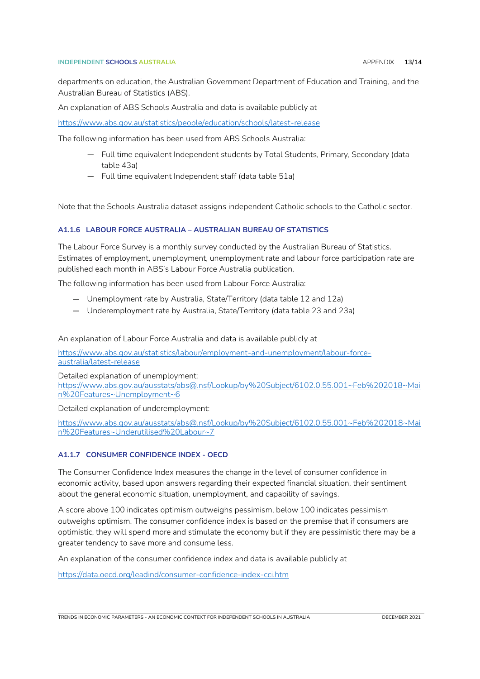### **INDEPENDENT SCHOOLS AUSTRALIA** APPENDIX **13/14**

departments on education, the Australian Government Department of Education and Training, and the Australian Bureau of Statistics (ABS).

An explanation of ABS Schools Australia and data is available publicly at

<https://www.abs.gov.au/statistics/people/education/schools/latest-release>

The following information has been used from ABS Schools Australia:

- Full time equivalent Independent students by Total Students, Primary, Secondary (data table 43a)
- Full time equivalent Independent staff (data table 51a)

Note that the Schools Australia dataset assigns independent Catholic schools to the Catholic sector.

### <span id="page-12-0"></span>**A1.1.6 LABOUR FORCE AUSTRALIA – AUSTRALIAN BUREAU OF STATISTICS**

The Labour Force Survey is a monthly survey conducted by the Australian Bureau of Statistics. Estimates of employment, unemployment, unemployment rate and labour force participation rate are published each month in ABS's Labour Force Australia publication.

The following information has been used from Labour Force Australia:

- Unemployment rate by Australia, State/Territory (data table 12 and 12a)
- Underemployment rate by Australia, State/Territory (data table 23 and 23a)

An explanation of Labour Force Australia and data is available publicly at

[https://www.abs.gov.au/statistics/labour/employment-and-unemployment/labour-force](https://www.abs.gov.au/statistics/labour/employment-and-unemployment/labour-force-australia/latest-release)[australia/latest-release](https://www.abs.gov.au/statistics/labour/employment-and-unemployment/labour-force-australia/latest-release)

Detailed explanation of unemployment:

[https://www.abs.gov.au/ausstats/abs@.nsf/Lookup/by%20Subject/6102.0.55.001~Feb%202018~Mai](https://www.abs.gov.au/ausstats/abs@.nsf/Lookup/by%20Subject/6102.0.55.001~Feb%202018~Main%20Features~Unemployment~6) [n%20Features~Unemployment~6](https://www.abs.gov.au/ausstats/abs@.nsf/Lookup/by%20Subject/6102.0.55.001~Feb%202018~Main%20Features~Unemployment~6)

Detailed explanation of underemployment:

[https://www.abs.gov.au/ausstats/abs@.nsf/Lookup/by%20Subject/6102.0.55.001~Feb%202018~Mai](https://www.abs.gov.au/ausstats/abs@.nsf/Lookup/by%20Subject/6102.0.55.001~Feb%202018~Main%20Features~Underutilised%20Labour~7) [n%20Features~Underutilised%20Labour~7](https://www.abs.gov.au/ausstats/abs@.nsf/Lookup/by%20Subject/6102.0.55.001~Feb%202018~Main%20Features~Underutilised%20Labour~7)

### <span id="page-12-1"></span>**A1.1.7 CONSUMER CONFIDENCE INDEX - OECD**

The Consumer Confidence Index measures the change in the level of consumer confidence in economic activity, based upon answers regarding their expected financial situation, their sentiment about the general economic situation, unemployment, and capability of savings.

A score above 100 indicates optimism outweighs pessimism, below 100 indicates pessimism outweighs optimism. The consumer confidence index is based on the premise that if consumers are optimistic, they will spend more and stimulate the economy but if they are pessimistic there may be a greater tendency to save more and consume less.

An explanation of the consumer confidence index and data is available publicly at

<https://data.oecd.org/leadind/consumer-confidence-index-cci.htm>